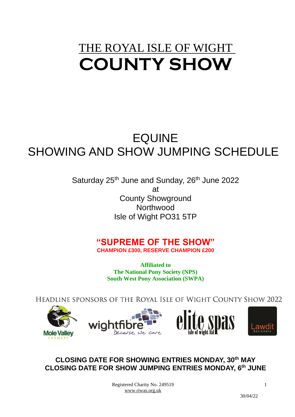# THE ROYAL ISLE OF WIGHT **COUNTY SHOW**

# EQUINE SHOWING AND SHOW JUMPING SCHEDULE

Saturday 25<sup>th</sup> June and Sunday, 26<sup>th</sup> June 2022 at County Showground **Northwood** Isle of Wight PO31 5TP

## **"SUPREME OF THE SHOW"**

**CHAMPION £300, RESERVE CHAMPION £200**

**Affiliated to The National Pony Society (NPS) South West Pony Association (SWPA)**

HEADLINE SPONSORS OF THE ROYAL ISLE OF WIGHT COUNTY SHOW 2022



## **CLOSING DATE FOR SHOWING ENTRIES MONDAY, 30 th MAY CLOSING DATE FOR SHOW JUMPING ENTRIES MONDAY, 6 th JUNE**

Registered Charity No. 249519 [www.riwas.org.uk](http://www.riwas.org.uk/)

30/04/22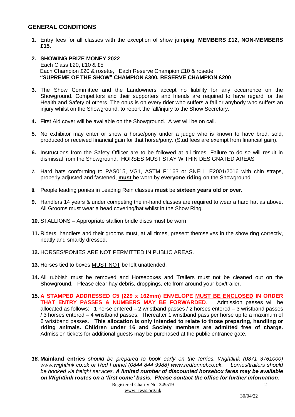#### **GENERAL CONDITIONS**

**1.** Entry fees for all classes with the exception of show jumping: **MEMBERS £12, NON-MEMBERS £15.**

#### **2. SHOWING PRIZE MONEY 2022** Each Class £20, £10 & £5 Each Champion £20 & rosette, Each Reserve Champion £10 & rosette  **"SUPREME OF THE SHOW" CHAMPION £300, RESERVE CHAMPION £200**

- **3.** The Show Committee and the Landowners accept no liability for any occurrence on the Showground. Competitors and their supporters and friends are required to have regard for the Health and Safety of others. The onus is on every rider who suffers a fall or anybody who suffers an injury whilst on the Showground, to report the fall/injury to the Show Secretary.
- **4.** First Aid cover will be available on the Showground. A vet will be on call.
- **5.** No exhibitor may enter or show a horse/pony under a judge who is known to have bred, sold, produced or received financial gain for that horse/pony. (Stud fees are exempt from financial gain).
- **6.** Instructions from the Safety Officer are to be followed at all times. Failure to do so will result in dismissal from the Showground. HORSES MUST STAY WITHIN DESIGNATED AREAS
- **7.** Hard hats conforming to PAS015, VG1, ASTM F1163 or SNELL E2001/2016 with chin straps, properly adjusted and fastened, **must** be worn by **everyone riding** on the Showground.
- **8.** People leading ponies in Leading Rein classes **must** be **sixteen years old or over.**
- **9.** Handlers 14 years & under competing the in-hand classes are required to wear a hard hat as above. All Grooms must wear a head covering/hat whilst in the Show Ring.
- **10.** STALLIONS Appropriate stallion bridle discs must be worn
- **11.** Riders, handlers and their grooms must, at all times, present themselves in the show ring correctly, neatly and smartly dressed.
- **12.** HORSES/PONIES ARE NOT PERMITTED IN PUBLIC AREAS.
- **13.** Horses tied to boxes MUST NOT be left unattended.
- **14.** All rubbish must be removed and Horseboxes and Trailers must not be cleaned out on the Showground. Please clear hay debris, droppings, etc from around your box/trailer.
- **15. A STAMPED ADDRESSED C5 (229 x 162mm) ENVELOPE MUST BE ENCLOSED IN ORDER THAT ENTRY PASSES & NUMBERS MAY BE FORWARDED**. Admission passes will be allocated as follows: 1 horse entered – 2 wristband passes / 2 horses entered – 3 wristband passes / 3 horses entered – 4 wristband passes. Thereafter 1 wristband pass per horse up to a maximum of 6 wristband passes. **This allocation is only intended to relate to those preparing, handling or riding animals. Children under 16 and Society members are admitted free of charge.** Admission tickets for additional guests may be purchased at the public entrance gate.
- *16.* **Mainland entries** *should be prepared to book early on the ferries. Wightlink (0871 3761000) [www.wightlink.co.uk](http://www.wightlink.co.uk/) or Red Funnel (0844 844 9988) www.redfunnel.co.uk. Lorries/trailers should be booked via freight services. A limited number of discounted horsebox fares may be available on Wightlink routes on a 'first come' basis. Please contact the office for further information.*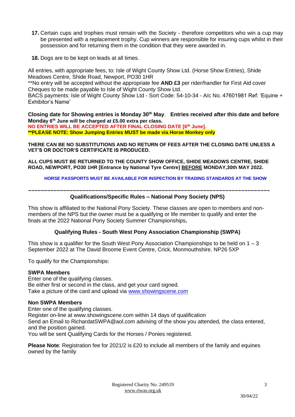- **17.** Certain cups and trophies must remain with the Society therefore competitors who win a cup may be presented with a replacement trophy. Cup winners are responsible for insuring cups whilst in their possession and for returning them in the condition that they were awarded in.
- **18.** Dogs are to be kept on leads at all times.

All entries, with appropriate fees, to: Isle of Wight County Show Ltd. (Horse Show Entries), Shide Meadows Centre, Shide Road, Newport, PO30 1HR

\*\*No entry will be accepted without the appropriate fee **AND £3** per rider/handler for First Aid cover Cheques to be made payable to Isle of Wight County Show Ltd.

BACS payments: Isle of Wight County Show Ltd - Sort Code: 54-10-34 - A/c No. 47601981 Ref: 'Equine + Exhibitor's Name'

**Closing date for Showing entries is Monday 30th May**. **Entries received after this date and before Monday 6 th June will be charged at £5.00 extra per class. NO ENTRIES WILL BE ACCEPTED AFTER FINAL CLOSING DATE [6 th June]. \*\*PLEASE NOTE: Show Jumping Entries MUST be made via Horse Monkey only**

**THERE CAN BE NO SUBSTITUTIONS AND NO RETURN OF FEES AFTER THE CLOSING DATE UNLESS A VET'S OR DOCTOR'S CERTIFICATE IS PRODUCED.**

**ALL CUPS MUST BE RETURNED TO THE COUNTY SHOW OFFICE, SHIDE MEADOWS CENTRE, SHIDE ROAD, NEWPORT, PO30 1HR [Entrance by National Tyre Centre] BEFORE MONDAY,30th MAY 2022.**

**HORSE PASSPORTS MUST BE AVAILABLE FOR INSPECTION BY TRADING STANDARDS AT THE SHOW**

**~~~~~~~~~~~~~~~~~~~~~~~~~~~~~~~~~~~~~~~~~~~~~~~~~~~~~~~~~~~~~~~~~~~~~~~~~~~~**

#### **Qualifications/Specific Rules – National Pony Society (NPS)**

This show is affiliated to the National Pony Society. These classes are open to members and nonmembers of the NPS but the owner must be a qualifying or life member to qualify and enter the finals at the 2022 National Pony Society Summer Championships**.**

#### **Qualifying Rules - South West Pony Association Championship (SWPA)**

This show is a qualifier for the South West Pony Association Championships to be held on  $1 - 3$ September 2022 at The David Broome Event Centre, Crick, Monmouthshire. NP26 5XP

To qualify for the Championships:

#### **SWPA Members**

Enter one of the qualifying classes. Be either first or second in the class, and get your card signed. Take a picture of the card and upload via [www.showingscene.com](http://www.showingscene.com/)

### **Non SWPA Members**

Enter one of the qualifying classes. Register on-line at www.showingscene.com within 14 days of qualification Send an Email to RichardatSWPA@aol.com advising of the show you attended, the class entered, and the position gained. You will be sent Qualifying Cards for the Horses / Ponies registered.

**Please Note**: Registration fee for 2021/2 is £20 to include all members of the family and equines owned by the family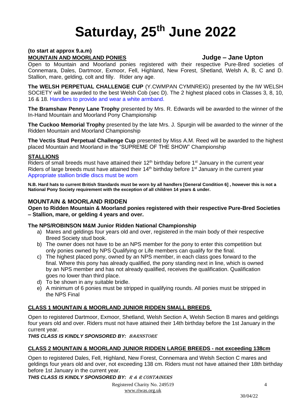# **Saturday, 25 th June 2022**

#### **(to start at approx 9.a.m) MOUNTAIN AND MOORLAND PONIES Judge – Jane Upton**

## Open to Mountain and Moorland ponies registered with their respective Pure-Bred societies of Connemara, Dales, Dartmoor, Exmoor, Fell, Highland, New Forest, Shetland, Welsh A, B, C and D. Stallion, mare, gelding, colt and filly. Rider any age.

**The WELSH PERPETUAL CHALLENGE CUP** (Y.CWMPAN CYMNREIG) presented by the IW WELSH SOCIETY will be awarded to the best Welsh Cob (sec D). The 2 highest placed cobs in Classes 3, 8, 10, 16 & 18. Handlers to provide and wear a white armband.

**The Bramshaw Penny Lane Trophy** presented by Mrs. R. Edwards will be awarded to the winner of the In-Hand Mountain and Moorland Pony Championship

**The Cuckoo Memorial Trophy** presented by the late Mrs. J. Spurgin will be awarded to the winner of the Ridden Mountain and Moorland Championship

**The Vectis Stud Perpetual Challenge Cup** presented by Miss A.M. Reed will be awarded to the highest placed Mountain and Moorland in the "SUPREME OF THE SHOW" Championship

## **STALLIONS**

Riders of small breeds must have attained their  $12<sup>th</sup>$  birthday before  $1<sup>st</sup>$  January in the current year Riders of large breeds must have attained their  $14<sup>th</sup>$  birthday before  $1<sup>st</sup>$  January in the current year Appropriate stallion bridle discs must be worn

**N.B. Hard hats to current British Standards must be worn by all handlers [General Condition 6] , however this is not a National Pony Society requirement with the exception of all children 14 years & under.**

## **MOUNTAIN & MOORLAND RIDDEN**

**Open to Ridden Mountain & Moorland ponies registered with their respective Pure-Bred Societies – Stallion, mare, or gelding 4 years and over.**

#### **The NPS/ROBINSON M&M Junior Ridden National Championship**

- a) Mares and geldings four years old and over, registered in the main body of their respective Breed Society stud book.
- b) The owner does not have to be an NPS member for the pony to enter this competition but only ponies owned by NPS Qualifying or Life members can qualify for the final.
- c) The highest placed pony, owned by an NPS member, in each class goes forward to the final. Where this pony has already qualified, the pony standing next in line, which is owned by an NPS member and has not already qualified, receives the qualification. Qualification goes no lower than third place.
- d) To be shown in any suitable bridle.
- e) A minimum of 6 ponies must be stripped in qualifying rounds. All ponies must be stripped in the NPS Final

## **CLASS 1 MOUNTAIN & MOORLAND JUNIOR RIDDEN SMALL BREEDS**

Open to registered Dartmoor, Exmoor, Shetland, Welsh Section A, Welsh Section B mares and geldings four years old and over. Riders must not have attained their 14th birthday before the 1st January in the current year.

#### *THIS CLASS IS KINDLY SPONSORED BY:* Barnstore

## **CLASS 2 MOUNTAIN & MOORLAND JUNIOR RIDDEN LARGE BREEDS - not exceeding 138cm**

Open to registered Dales, Fell, Highland, New Forest, Connemara and Welsh Section C mares and geldings four years old and over, not exceeding 138 cm. Riders must not have attained their 18th birthday before 1st January in the current year.

*THIS CLASS IS KINDLY SPONSORED BY:* R & R Containers

Registered Charity No. 249519 [www.riwas.org.uk](http://www.riwas.org.uk/)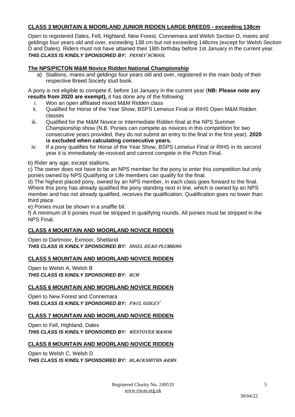## **CLASS 3 MOUNTAIN & MOORLAND JUNIOR RIDDEN LARGE BREEDS - exceeding 138cm**

Open to registered Dales, Fell, Highland, New Forest, Connemara and Welsh Section D, mares and geldings four years old and over, exceeding 138 cm but not exceeding 148cms (except for Welsh Section D and Dales). Riders must not have attained their 18th birthday before 1st January in the current year. *THIS CLASS IS KINDLY SPONSORED BY:* Priory School

## **The NPS/PICTON M&M Novice Ridden National Championship**

a) Stallions, mares and geldings four years old and over, registered in the main body of their respective Breed Society stud book.

A pony is not eligible to compete if, before 1st January in the current year (**NB: Please note any results from 2020 are exempt),** it has done any of the following:

- i. Won an open affiliated mixed M&M Ridden class
- ii. Qualified for Horse of the Year Show, BSPS Lemeiux Final or RIHS Open M&M Ridden classes
- iii. Qualified for the M&M Novice or Intermediate Ridden final at the NPS Summer Championship show (N.B. Ponies can compete as novices in this competition for two consecutive years provided, they do not submit an entry to the final in the first year). **2020 is excluded when calculating consecutive years.**
- iv. If a pony qualifies for Horse of the Year Show, BSPS Lemeiux Final or RIHS in its second year it is immediately de-noviced and cannot compete in the Picton Final.
- b) Rider any age, except stallions.

c) The owner does not have to be an NPS member for the pony to enter this competition but only ponies owned by NPS Qualifying or Life members can qualify for the final.

d) The highest placed pony, owned by an NPS member, in each class goes forward to the final. Where this pony has already qualified the pony standing next in line, which is owned by an NPS member and has not already qualified, receives the qualification. Qualification goes no lower than third place.

e) Ponies must be shown in a snaffle bit.

f) A minimum of 6 ponies must be stripped in qualifying rounds. All ponies must be stripped in the NPS Final.

## **CLASS 4 MOUNTAIN AND MOORLAND NOVICE RIDDEN**

Open to Dartmoor, Exmoor, Shetland *THIS CLASS IS KINDLY SPONSORED BY:* Nigel Read Plumbing

## **CLASS 5 MOUNTAIN AND MOORLAND NOVICE RIDDEN**

Open to Welsh A, Welsh B *THIS CLASS IS KINDLY SPONSORED BY:* BCM

#### **CLASS 6 MOUNTAIN AND MOORLAND NOVICE RIDDEN**

Open to New Forest and Connemara *THIS CLASS IS KINDLY SPONSORED BY:* Paul Gidley

## **CLASS 7 MOUNTAIN AND MOORLAND NOVICE RIDDEN**

Open to Fell, Highland, Dales *THIS CLASS IS KINDLY SPONSORED BY:* Westover Manor

#### **CLASS 8 MOUNTAIN AND MOORLAND NOVICE RIDDEN**

Open to Welsh C, Welsh D *THIS CLASS IS KINDLY SPONSORED BY:* Blacksmiths Arms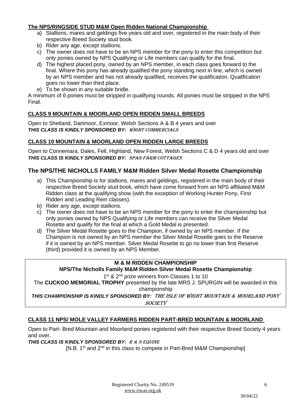## **The NPS/RINGSIDE STUD M&M Open Ridden National Championship**

- a) Stallions, mares and geldings five years old and over, registered in the main body of their respective Breed Society stud book.
- b) Rider any age, except stallions.
- c) The owner does not have to be an NPS member for the pony to enter this competition but only ponies owned by NPS Qualifying or Life members can qualify for the final.
- d) The highest placed pony, owned by an NPS member, in each class goes forward to the final. Where this pony has already qualified the pony standing next in line, which is owned by an NPS member and has not already qualified, receives the qualification. Qualification goes no lower than third place.
- e) To be shown in any suitable bridle.

A minimum of 6 ponies must be stripped in qualifying rounds. All ponies must be stripped in the NPS Final.

## **CLASS 9 MOUNTAIN & MOORLAND OPEN RIDDEN SMALL BREEDS**

Open to Shetland, Dartmoor, Exmoor, Welsh Sections A & B 4 years and over *THIS CLASS IS KINDLY SPONSORED BY:* Wight Commercials

## **CLASS 10 MOUNTAIN & MOORLAND OPEN RIDDEN LARGE BREEDS**

Open to Connemara, Dales, Fell, Highland, New Forest, Welsh Sections C & D 4 years old and over *THIS CLASS IS KINDLY SPONSORED BY:* Span Farm Cottages

## **The NPS/THE NICHOLLS FAMILY M&M Ridden Silver Medal Rosette Championship**

- a) This Championship is for stallions, mares and geldings, registered in the main body of their respective Breed Society stud book, which have come forward from an NPS affiliated M&M Ridden class at the qualifying show (with the exception of Working Hunter Pony, First Ridden and Leading Rein classes).
- b) Rider any age, except stallions.
- c) The owner does not have to be an NPS member for the pony to enter the championship but only ponies owned by NPS Qualifying or Life members can receive the Silver Medal Rosette and qualify for the final at which a Gold Medal is presented.
- d) The Silver Medal Rosette goes to the Champion, if owned by an NPS member. If the Champion is not owned by an NPS member the Silver Medal Rosette goes to the Reserve if it is owned by an NPS member. Silver Medal Rosette to go no lower than first Reserve (third) provided it is owned by an NPS Member.

## **M & M RIDDEN CHAMPIONSHIP**

#### **NPS/The Nicholls Family M&M Ridden Silver Medal Rosette Championship**

1<sup>st</sup> & 2<sup>nd</sup> prize winners from Classes 1 to 10

The **CUCKOO MEMORIAL TROPHY** presented by the late MRS J. SPURGIN will be awarded in this championship

*THIS CHAMPIONSHIP IS KINDLY SPONSORED BY:* the isle OF WIGHT MOUNTAIN & MOORLAND PONY **SOCIETY** 

#### **CLASS 11 NPS/ MOLE VALLEY FARMERS RIDDEN PART-BRED MOUNTAIN & MOORLAND**

Open to Part- Bred Mountain and Moorland ponies registered with their respective Breed Society 4 years and over.

*THIS CLASS IS KINDLY SPONSORED BY:* R & S Equine

[N.B.  $1<sup>st</sup>$  and  $2<sup>nd</sup>$  in this class to compete in Part-Bred M&M Championship]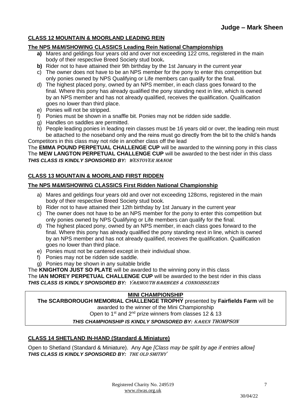## **CLASS 12 MOUNTAIN & MOORLAND LEADING REIN**

#### **The NPS M&M/SHOWING CLASSICS Leading Rein National Championships**

- **a)** Mares and geldings four years old and over not exceeding 122 cms, registered in the main body of their respective Breed Society stud book**.**
- **b)** Rider not to have attained their 9th birthday by the 1st January in the current year
- c) The owner does not have to be an NPS member for the pony to enter this competition but only ponies owned by NPS Qualifying or Life members can qualify for the final.
- d) The highest placed pony, owned by an NPS member, in each class goes forward to the final. Where this pony has already qualified the pony standing next in line, which is owned by an NPS member and has not already qualified, receives the qualification. Qualification goes no lower than third place.
- e) Ponies will not be stripped.
- f) Ponies must be shown in a snaffle bit. Ponies may not be ridden side saddle.
- g) Handles on saddles are permitted.
- h) People leading ponies in leading rein classes must be 16 years old or over, the leading rein must be attached to the noseband only and the reins must go directly from the bit to the child's hands Competitors in this class may not ride in another class off the lead

The **EMMA POUND PERPETUAL CHALLENGE CUP** will be awarded to the winning pony in this class The **MEW LANGTON PERPETUAL CHALLENGE CUP** will be awarded to the best rider in this class *THIS CLASS IS KINDLY SPONSORED BY:* Westover Manor

## **CLASS 13 MOUNTAIN & MOORLAND FIRST RIDDEN**

### **The NPS M&M/SHOWING CLASSICS First Ridden National Championship**

- a) Mares and geldings four years old and over not exceeding 128cms, registered in the main body of their respective Breed Society stud book.
- b) Rider not to have attained their 12th birthday by 1st January in the current year
- c) The owner does not have to be an NPS member for the pony to enter this competition but only ponies owned by NPS Qualifying or Life members can qualify for the final.
- d) The highest placed pony, owned by an NPS member, in each class goes forward to the final. Where this pony has already qualified the pony standing next in line, which is owned by an NPS member and has not already qualified, receives the qualification. Qualification goes no lower than third place.
- e) Ponies must not be cantered except in their individual show.
- f) Ponies may not be ridden side saddle.
- g) Ponies may be shown in any suitable bridle

The **KNIGHTON JUST SO PLATE** will be awarded to the winning pony in this class The **IAN MOREY PERPETUAL CHALLENGE CUP** will be awarded to the best rider in this class *THIS CLASS IS KINDLY SPONSORED BY:* Yarmouth Barbers & Connoisseurs

## **MINI CHAMPIONSHIP**

**The SCARBOROUGH MEMORIAL CHALLENGE TROPHY** presented by **Fairfields Farm** will be awarded to the winner of the Mini Championship Open to 1<sup>st</sup> and 2<sup>nd</sup> prize winners from classes 12 & 13

#### *THIS CHAMPIONSHIP IS KINDLY SPONSORED BY:* KAREN THOMPSON

## **CLASS 14 SHETLAND IN-HAND (Standard & Miniature)**

Open to Shetland (Standard & Miniature). Any Age *[Class may be split by age if entries allow] THIS CLASS IS KINDLY SPONSORED BY:* The Old Smithy

7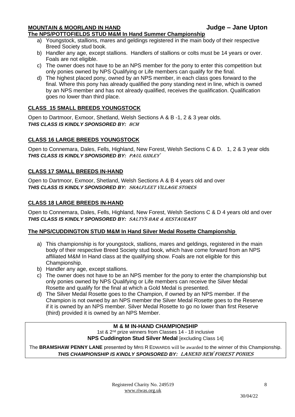## **MOUNTAIN & MOORLAND IN HAND Judge – Jane Upton**

## **The NPS/POTTOFIELDS STUD M&M In Hand Summer Championship**

- a) Youngstock, stallions, mares and geldings registered in the main body of their respective Breed Society stud book.
- b) Handler any age, except stallions. Handlers of stallions or colts must be 14 years or over. Foals are not eligible.
- c) The owner does not have to be an NPS member for the pony to enter this competition but only ponies owned by NPS Qualifying or Life members can qualify for the final.
- d) The highest placed pony, owned by an NPS member, in each class goes forward to the final. Where this pony has already qualified the pony standing next in line, which is owned by an NPS member and has not already qualified, receives the qualification. Qualification goes no lower than third place.

## **CLASS 15 SMALL BREEDS YOUNGSTOCK**

Open to Dartmoor, Exmoor, Shetland, Welsh Sections A & B -1, 2 & 3 year olds. *THIS CLASS IS KINDLY SPONSORED BY:* BCM

## **CLASS 16 LARGE BREEDS YOUNGSTOCK**

Open to Connemara, Dales, Fells, Highland, New Forest, Welsh Sections C & D. 1, 2 & 3 year olds *THIS CLASS IS KINDLY SPONSORED BY:* Paul Gidley

### **CLASS 17 SMALL BREEDS IN-HAND**

Open to Dartmoor, Exmoor, Shetland, Welsh Sections A & B 4 years old and over *THIS CLASS IS KINDLY SPONSORED BY:* SHALFLEET VILLAGE STORES

### **CLASS 18 LARGE BREEDS IN-HAND**

Open to Connemara, Dales, Fells, Highland, New Forest, Welsh Sections C & D 4 years old and over *THIS CLASS IS KINDLY SPONSORED BY:* Saltys Bar & Restaurant

#### **The NPS/CUDDINGTON STUD M&M In Hand Silver Medal Rosette Championship**

- a) This championship is for youngstock, stallions, mares and geldings, registered in the main body of their respective Breed Society stud book, which have come forward from an NPS affiliated M&M In Hand class at the qualifying show. Foals are not eligible for this Championship.
- b) Handler any age, except stallions.
- c) The owner does not have to be an NPS member for the pony to enter the championship but only ponies owned by NPS Qualifying or Life members can receive the Silver Medal Rosette and qualify for the final at which a Gold Medal is presented.
- d) The Silver Medal Rosette goes to the Champion, if owned by an NPS member. If the Champion is not owned by an NPS member the Silver Medal Rosette goes to the Reserve if it is owned by an NPS member. Silver Medal Rosette to go no lower than first Reserve (third) provided it is owned by an NPS Member.

#### **M & M IN-HAND CHAMPIONSHIP**

1st & 2<sup>nd</sup> prize winners from Classes 14 - 18 inclusive **NPS Cuddington Stud Silver Medal** [excluding Class 14]

The **BRAMSHAW PENNY LANE** presented by MRS R EDWARDS will be awarded to the winner of this Championship. *THIS CHAMPIONSHIP IS KINDLY SPONSORED BY:* LANEND NEW FOREST PONIES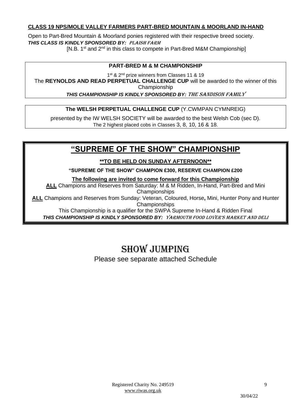## **CLASS 19 NPS/MOLE VALLEY FARMERS PART-BRED MOUNTAIN & MOORLAND IN-HAND**

Open to Part-Bred Mountain & Moorland ponies registered with their respective breed society. *THIS CLASS IS KINDLY SPONSORED BY:* Plaish Farm [N.B. 1<sup>st</sup> and 2<sup>nd</sup> in this class to compete in Part-Bred M&M Championship]

## **PART-BRED M & M CHAMPIONSHIP**

1<sup>st</sup> & 2<sup>nd</sup> prize winners from Classes 11 & 19 The **REYNOLDS AND READ PERPETUAL CHALLENGE CUP** will be awarded to the winner of this Championship *THIS CHAMPIONSHIP IS KINDLY SPONSORED BY:* The Sandison Family

**The WELSH PERPETUAL CHALLENGE CUP** (Y.CWMPAN CYMNREIG)

presented by the IW WELSH SOCIETY will be awarded to the best Welsh Cob (sec D). The 2 highest placed cobs in Classes 3, 8, 10, 16 & 18.

## **"SUPREME OF THE SHOW" CHAMPIONSHIP**

**\*\*TO BE HELD ON SUNDAY AFTERNOON\*\***

**"SUPREME OF THE SHOW" CHAMPION £300, RESERVE CHAMPION £200**

**The following are invited to come forward for this Championship**

**ALL** Champions and Reserves from Saturday: M & M Ridden, In-Hand, Part-Bred and Mini Championships

**ALL** Champions and Reserves from Sunday: Veteran, Coloured, Horse**,** Mini, Hunter Pony and Hunter Championships

This Championship is a qualifier for the SWPA Supreme In-Hand & Ridden Final

*THIS CHAMPIONSHIP IS KINDLY SPONSORED BY:* Yarmouth Food Lover's Market and Deli

# Show jumping

Please see separate attached Schedule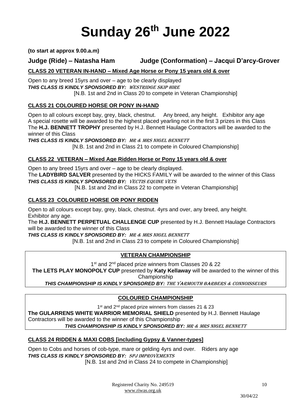# **Sunday 26 th June 2022**

**(to start at approx 9.00.a.m)**

## **Judge (Ride) – Natasha Ham Judge (Conformation) – Jacqui D'arcy-Grover**

## **CLASS 20 VETERAN IN-HAND – Mixed Age Horse or Pony 15 years old & over**

Open to any breed 15yrs and over – age to be clearly displayed *THIS CLASS IS KINDLY SPONSORED BY:* WESTRIDGE SKIP HIRE [N.B. 1st and 2nd in Class 20 to compete in Veteran Championship]

## **CLASS 21 COLOURED HORSE OR PONY IN-HAND**

Open to all colours except bay, grey, black, chestnut. Any breed, any height. Exhibitor any age A special rosette will be awarded to the highest placed yearling not in the first 3 prizes in this Class The **H.J. BENNETT TROPHY** presented by H.J. Bennett Haulage Contractors will be awarded to the winner of this Class

*THIS CLASS IS KINDLY SPONSORED BY:* MR & MRS NIGEL BENNETT [N.B. 1st and 2nd in Class 21 to compete in Coloured Championship]

## **CLASS 22 VETERAN – Mixed Age Ridden Horse or Pony 15 years old & over**

Open to any breed 15yrs and over – age to be clearly displayed. The **LADYBIRD SALVER** presented by the HICKS FAMILY will be awarded to the winner of this Class *THIS CLASS IS KINDLY SPONSORED BY:* VECTIS EQUINE VETS [N.B. 1st and 2nd in Class 22 to compete in Veteran Championship]

### **CLASS 23 COLOURED HORSE OR PONY RIDDEN**

Open to all colours except bay, grey, black, chestnut. 4yrs and over, any breed, any height. Exhibitor any age.

The **H.J. BENNETT PERPETUAL CHALLENGE CUP** presented by H.J. Bennett Haulage Contractors will be awarded to the winner of this Class

*THIS CLASS IS KINDLY SPONSORED BY:* MR & MRS NIGEL BENNETT

[N.B. 1st and 2nd in Class 23 to compete in Coloured Championship]

## **VETERAN CHAMPIONSHIP**

1<sup>st</sup> and 2<sup>nd</sup> placed prize winners from Classes 20 & 22

**The LETS PLAY MONOPOLY CUP** presented by **Katy Kellaway** will be awarded to the winner of this Championship

*THIS CHAMPIONSHIP IS KINDLY SPONSORED BY:* The Yarmouth Barbers & Connoisseurs

## **COLOURED CHAMPIONSHIP**

1<sup>st</sup> and 2<sup>nd</sup> placed prize winners from classes 21 & 23 **The GULARRENS WHITE WARRIOR MEMORIAL SHIELD** presented by H.J. Bennett Haulage Contractors will be awarded to the winner of this Championship

*THIS CHAMPIONSHIP IS KINDLY SPONSORED BY:* MR & MRS NIGEL BENNETT

## **CLASS 24 RIDDEN & MAXI COBS [including Gypsy & Vanner-types]**

Open to Cobs and horses of cob-type, mare or gelding 4yrs and over. Riders any age *THIS CLASS IS KINDLY SPONSORED BY:* SPJ Improvements

[N.B. 1st and 2nd in Class 24 to compete in Championship]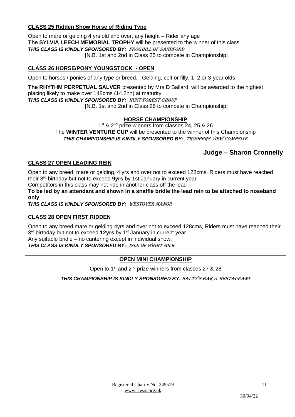## **CLASS 25 Ridden Show Horse of Riding Type**

Open to mare or gelding 4 yrs old and over, any height – Rider any age **The SYLVIA LEECH MEMORIAL TROPHY** will be presented to the winner of this class *THIS CLASS IS KINDLY SPONSORED BY:* Froghill of Sandford [N.B. 1st and 2nd in Class 25 to compete in Championship]

## **CLASS 26 HORSE/PONY YOUNGSTOCK - OPEN**

Open to horses / ponies of any type or breed. Gelding, colt or filly, 1, 2 or 3-year olds

**The RHYTHM PERPETUAL SALVER** presented by Mrs D Ballard, will be awarded to the highest placing likely to make over 148cms (14.2hh) at maturity *THIS CLASS IS KINDLY SPONSORED BY:* Hunt Forest Group

[N.B. 1st and 2nd in Class 26 to compete in Championship]

### **HORSE CHAMPIONSHIP**

1<sup>st</sup> & 2<sup>nd</sup> prize winners from classes 24, 25 & 26 The **WINTER VENTURE CUP** will be presented to the winner of this Championship *THIS CHAMPIONSHIP IS KINDLY SPONSORED BY:* Troopers View Campsite

## **Judge – Sharon Cronnelly**

## **CLASS 27 OPEN LEADING REIN**

Open to any breed, mare or gelding, 4 yrs and over not to exceed 128cms. Riders must have reached their 3rd birthday but not to exceed **9yrs** by 1st January in current year

Competitors in this class may not ride in another class off the lead

**To be led by an attendant and shown in a snaffle bridle the lead rein to be attached to noseband only**.

*THIS CLASS IS KINDLY SPONSORED BY:* Westover Manor

#### **CLASS 28 OPEN FIRST RIDDEN**

Open to any breed mare or gelding 4yrs and over not to exceed 128cms, Riders must have reached their 3<sup>rd</sup> birthday but not to exceed 12yrs by 1<sup>st</sup> January in current year Any suitable bridle – no cantering except in individual show. *THIS CLASS IS KINDLY SPONSORED BY:* Isle of Wight Milk

#### **OPEN MINI CHAMPIONSHIP**

Open to 1<sup>st</sup> and 2<sup>nd</sup> prize winners from classes 27 & 28

*THIS CHAMPIONSHIP IS KINDLY SPONSORED BY:* Salty'S Bar & reStaurant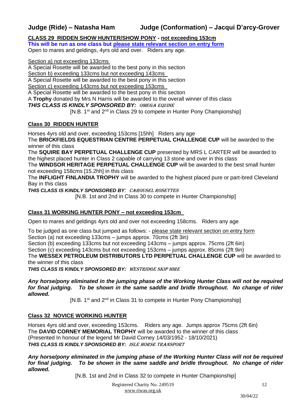**CLASS 29 RIDDEN SHOW HUNTER/SHOW PONY - not exceeding 153cm**

**This will be run as one class but please state relevant section on entry form** Open to mares and geldings, 4yrs old and over. Riders any age.

Section a) not exceeding 133cms

A Special Rosette will be awarded to the best pony in this section

Section b) exceeding 133cms but not exceeding 143cms

A Special Rosette will be awarded to the best pony in this section

Section c) exceeding 143cms but not exceeding 153cms

A Special Rosette will be awarded to the best pony in this section

A **Trophy** donated by Mrs N Harris will be awarded to the overall winner of this class

*THIS CLASS IS KINDLY SPONSORED BY:* Omega Equine

[N.B. 1<sup>st</sup> and 2<sup>nd</sup> in Class 29 to compete in Hunter Pony Championship]

## **Class 30 RIDDEN HUNTER**

Horses 4yrs old and over, exceeding 153cms [15hh] Riders any age

The **BRICKFIELDS EQUESTRIAN CENTRE PERPETUAL CHALLENGE CUP** will be awarded to the winner of this class

The **SQUIRE BAY PERPETUAL CHALLENGE CUP** presented by MRS L CARTER will be awarded to the highest placed hunter in Class 2 capable of carrying 13 stone and over in this class

The **WINDSOR HERITAGE PERPETUAL CHALLENGE CUP** will be awarded to the best small hunter not exceeding 158cms [15.2hh] in this class

The **INFLIGHT FINLANDIA TROPHY** will be awarded to the highest placed pure or part-bred Cleveland Bay in this class

*THIS CLASS IS KINDLY SPONSORED BY:* Carousel Rosettes

[N.B. 1st and 2nd in Class 30 to compete in Hunter Championship]

## **Class 31 WORKING HUNTER PONY – not exceeding 153cm**

Open to mares and geldings 4yrs old and over not exceeding 158cms. Riders any age

To be judged as one class but jumped as follows: - please state relevant section on entry form Section (a) not exceeding 133cms – jumps approx. 70cms (2ft 3in) Section (b) exceeding 133cms but not exceeding 143cms – jumps approx. 75cms (2ft 6in) Section (c) exceeding 143cms but not exceeding 153cms – jumps approx. 85cms (2ft 9in) The **WESSEX PETROLEUM DISTRIBUTORS LTD PERPETUAL CHALLENGE CUP** will be awarded to the winner of this class

*THIS CLASS IS KINDLY SPONSORED BY:* Westridge Skip Hire

#### *Any horse/pony eliminated in the jumping phase of the Working Hunter Class will not be required for final judging. To be shown in the same saddle and bridle throughout. No change of rider allowed.*

 $[N.B. 1<sup>st</sup>$  and  $2<sup>nd</sup>$  in Class 31 to compete in Hunter Pony Championship]

## **Class 32 NOVICE WORKING HUNTER**

Horses 4yrs old and over, exceeding 153cms. Riders any age. Jumps approx 75cms (2ft 6in) The **DAVID CORNEY MEMORIAL TROPHY** will be awarded to the winner of this class (Presented In honour of the legend Mr David Corney 14/03/1952 - 18/10/2021) *THIS CLASS IS KINDLY SPONSORED BY:* Isle Horse Transport

*Any horse/pony eliminated in the jumping phase of the Working Hunter Class will not be required for final judging. To be shown in the same saddle and bridle throughout. No change of rider allowed.*

[N.B. 1st and 2nd in Class 32 to compete in Hunter Championship]

Registered Charity No. 249519 [www.riwas.org.uk](http://www.riwas.org.uk/)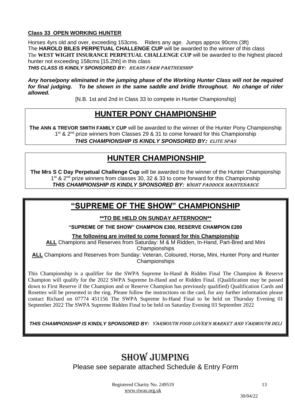## **Class 33 OPEN WORKING HUNTER**

Horses 4yrs old and over, exceeding 153cms. Riders any age. Jumps approx 90cms (3ft) The **HAROLD BILES PERPETUAL CHALLENGE CUP** will be awarded to the winner of this class The **WEST WIGHT INSURANCE PERPETUAL CHALLENGE CUP** will be awarded to the highest placed hunter not exceeding 158cms [15.2hh] in this class *THIS CLASS IS KINDLY SPONSORED BY:* Reads Farm Partnership

*Any horse/pony eliminated in the jumping phase of the Working Hunter Class will not be required for final judging. To be shown in the same saddle and bridle throughout. No change of rider allowed.*

[N.B. 1st and 2nd in Class 33 to compete in Hunter Championship]

## **HUNTER PONY CHAMPIONSHIP**

**The ANN & TREVOR SMITH FAMILY CUP** will be awarded to the winner of the Hunter Pony Championship 1<sup>st</sup> & 2<sup>nd</sup> prize winners from Classes 29 & 31 to come forward for this Championship *THIS CHAMPIONSHIP IS KINDLY SPONSORED BY*: Elite Spas

## **HUNTER CHAMPIONSHIP**

**The Mrs S C Day Perpetual Challenge Cup** will be awarded to the winner of the Hunter Championship 1<sup>st</sup> & 2<sup>nd</sup> prize winners from classes 30, 32 & 33 to come forward for this Championship *THIS CHAMPIONSHIP IS KINDLY SPONSORED BY:* Wight Paddock Maintenance

## **"SUPREME OF THE SHOW" CHAMPIONSHIP**

**\*\*TO BE HELD ON SUNDAY AFTERNOON\*\***

**"SUPREME OF THE SHOW" CHAMPION £300, RESERVE CHAMPION £200**

**The following are invited to come forward for this Championship**

**ALL** Champions and Reserves from Saturday: M & M Ridden, In-Hand, Part-Bred and Mini Championships

**ALL** Champions and Reserves from Sunday: Veteran, Coloured, Horse**,** Mini, Hunter Pony and Hunter Championships

This Championship is a qualifier for the SWPA Supreme In-Hand & Ridden Final The Champion & Reserve Champion will qualify for the 2022 SWPA Supreme In-Hand and or Ridden Final. (Qualification may be passed down to First Reserve if the Champion and or Reserve Champion has previously qualified) Qualification Cards and Rosettes will be presented in the ring. Please follow the instructions on the card, for any further information please contact Richard on 07774 451156 The SWPA Supreme In-Hand Final to be held on Thursday Evening 01 September 2022 The SWPA Supreme Ridden Final to be held on Saturday Evening 03 September 2022

*THIS CHAMPIONSHIP IS KINDLY SPONSORED BY:* Yarmouth Food Lover's Market and Yarmouth Deli

# SHOW JUMPING

Please see separate attached Schedule & Entry Form

Registered Charity No. 249519 [www.riwas.org.uk](http://www.riwas.org.uk/)

13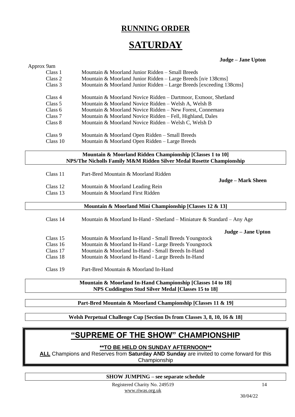## **RUNNING ORDER**

# **SATURDAY**

#### **Judge – Jane Upton**

| Approx 9am |                                                                         |
|------------|-------------------------------------------------------------------------|
| Class 1    | Mountain & Moorland Junior Ridden - Small Breeds                        |
| Class 2    | Mountain & Moorland Junior Ridden - Large Breeds [n/e 138cms]           |
| Class 3    | Mountain & Moorland Junior Ridden - Large Breeds [exceeding 138cms]     |
| Class 4    | Mountain & Moorland Novice Ridden - Dartmoor, Exmoor, Shetland          |
| Class 5    | Mountain & Moorland Novice Ridden - Welsh A, Welsh B                    |
| Class 6    | Mountain & Moorland Novice Ridden - New Forest, Connemara               |
| Class 7    | Mountain & Moorland Novice Ridden - Fell, Highland, Dales               |
| Class 8    | Mountain & Moorland Novice Ridden - Welsh C, Welsh D                    |
| Class 9    | Mountain & Moorland Open Ridden - Small Breeds                          |
| Class 10   | Mountain & Moorland Open Ridden - Large Breeds                          |
|            | Mountain & Moorland Ridden Championship [Classes 1 to 10]               |
|            | NPS/The Nicholls Family M&M Ridden Silver Medal Rosette Championship    |
| Class 11   |                                                                         |
|            | Part-Bred Mountain & Moorland Ridden<br><b>Judge - Mark Sheen</b>       |
| Class 12   | Mountain & Moorland Leading Rein                                        |
| Class 13   | Mountain & Moorland First Ridden                                        |
|            | Mountain & Moorland Mini Championship [Classes 12 & 13]                 |
| Class 14   | Mountain & Moorland In-Hand - Shetland – Miniature & Standard – Any Age |
|            | Judge - Jane Upton                                                      |
| Class 15   | Mountain & Moorland In-Hand - Small Breeds Youngstock                   |
| Class 16   | Mountain & Moorland In-Hand - Large Breeds Youngstock                   |
| Class 17   | Mountain & Moorland In-Hand - Small Breeds In-Hand                      |
| Class 18   | Mountain & Moorland In-Hand - Large Breeds In-Hand                      |
| Class 19   | Part-Bred Mountain & Moorland In-Hand                                   |
|            | Mountain & Moorland In-Hand Championship [Classes 14 to 18]             |
|            | NPS Cuddington Stud Silver Medal [Classes 15 to 18]                     |
|            |                                                                         |

**Part-Bred Mountain & Moorland Championship [Classes 11 & 19]**

**Welsh Perpetual Challenge Cup [Section Ds from Classes 3, 8, 10, 16 & 18]**

## **"SUPREME OF THE SHOW" CHAMPIONSHIP**

## **\*\*TO BE HELD ON SUNDAY AFTERNOON\*\***

**ALL** Champions and Reserves from **Saturday AND Sunday** are invited to come forward for this Championship

**SHOW JUMPING – see separate schedule**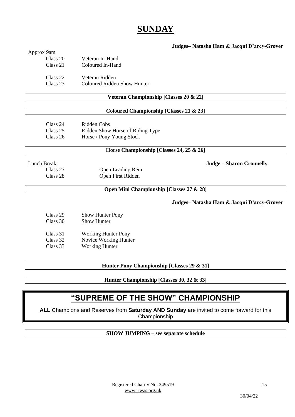## **SUNDAY**

#### **Judges– Natasha Ham & Jacqui D'arcy-Grover**

#### Approx 9am

| Class 20 | Veteran In-Hand             |
|----------|-----------------------------|
| Class 21 | Coloured In-Hand            |
| Class 22 | Veteran Ridden              |
| Class 23 | Coloured Ridden Show Hunter |

#### **Veteran Championship [Classes 20 & 22]**

#### **Coloured Championship [Classes 21 & 23]**

| Class 24 | Ridden Cobs                      |
|----------|----------------------------------|
| Class 25 | Ridden Show Horse of Riding Type |
| Class 26 | Horse / Pony Young Stock         |

#### **Horse Championship [Classes 24, 25 & 26]**

# Lunch Break **Judge – Sharon Cronnelly**

Class 27 Open Leading Rein<br>Class 28 Open First Ridden Open First Ridden

#### **Open Mini Championship [Classes 27 & 28]**

**Judges– Natasha Ham & Jacqui D'arcy-Grover**

| Class 29 | Show Hunter Pony           |
|----------|----------------------------|
| Class 30 | Show Hunter                |
| Class 31 | <b>Working Hunter Pony</b> |
| Class 32 | Novice Working Hunter      |
| Class 33 | <b>Working Hunter</b>      |

**Hunter Pony Championship [Classes 29 & 31]**

**Hunter Championship [Classes 30, 32 & 33]**

## **"SUPREME OF THE SHOW" CHAMPIONSHIP**

**ALL** Champions and Reserves from **Saturday AND Sunday** are invited to come forward for this Championship

#### **SHOW JUMPING – see separate schedule**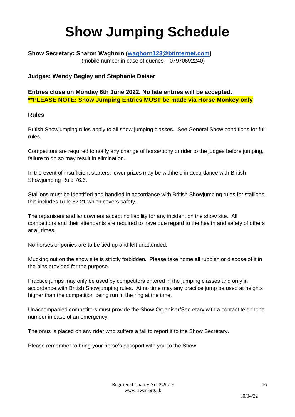# **Show Jumping Schedule**

## **Show Secretary: Sharon Waghorn [\(waghorn123@btinternet.com\)](mailto:waghorn123@btinternet.com)** (mobile number in case of queries – 07970692240)

## **Judges: Wendy Begley and Stephanie Deiser**

**Entries close on Monday 6th June 2022. No late entries will be accepted. \*\*PLEASE NOTE: Show Jumping Entries MUST be made via Horse Monkey only**

## **Rules**

British Showjumping rules apply to all show jumping classes. See General Show conditions for full rules.

Competitors are required to notify any change of horse/pony or rider to the judges before jumping, failure to do so may result in elimination.

In the event of insufficient starters, lower prizes may be withheld in accordance with British Showjumping Rule 76.6.

Stallions must be identified and handled in accordance with British Showjumping rules for stallions, this includes Rule 82.21 which covers safety.

The organisers and landowners accept no liability for any incident on the show site. All competitors and their attendants are required to have due regard to the health and safety of others at all times.

No horses or ponies are to be tied up and left unattended.

Mucking out on the show site is strictly forbidden. Please take home all rubbish or dispose of it in the bins provided for the purpose.

Practice jumps may only be used by competitors entered in the jumping classes and only in accordance with British Showjumping rules. At no time may any practice jump be used at heights higher than the competition being run in the ring at the time.

Unaccompanied competitors must provide the Show Organiser/Secretary with a contact telephone number in case of an emergency.

The onus is placed on any rider who suffers a fall to report it to the Show Secretary.

Please remember to bring your horse's passport with you to the Show.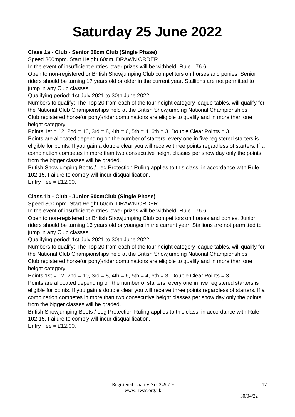# **Saturday 25 June 2022**

## **Class 1a - Club - Senior 60cm Club (Single Phase)**

Speed 300mpm. Start Height 60cm. DRAWN ORDER

In the event of insufficient entries lower prizes will be withheld. Rule - 76.6

Open to non-registered or British Showjumping Club competitors on horses and ponies. Senior riders should be turning 17 years old or older in the current year. Stallions are not permitted to jump in any Club classes.

Qualifying period: 1st July 2021 to 30th June 2022.

Numbers to qualify: The Top 20 from each of the four height category league tables, will qualify for the National Club Championships held at the British Showjumping National Championships. Club registered horse(or pony)/rider combinations are eligible to qualify and in more than one height category.

Points  $1st = 12$ ,  $2nd = 10$ ,  $3rd = 8$ ,  $4th = 6$ ,  $5th = 4$ ,  $6th = 3$ . Double Clear Points = 3.

Points are allocated depending on the number of starters; every one in five registered starters is eligible for points. If you gain a double clear you will receive three points regardless of starters. If a combination competes in more than two consecutive height classes per show day only the points from the bigger classes will be graded.

British Showjumping Boots / Leg Protection Ruling applies to this class, in accordance with Rule 102.15. Failure to comply will incur disqualification.

Entry Fee  $=$  £12.00.

## **Class 1b - Club - Junior 60cmClub (Single Phase)**

Speed 300mpm. Start Height 60cm. DRAWN ORDER

In the event of insufficient entries lower prizes will be withheld. Rule - 76.6

Open to non-registered or British Showjumping Club competitors on horses and ponies. Junior riders should be turning 16 years old or younger in the current year. Stallions are not permitted to jump in any Club classes.

Qualifying period: 1st July 2021 to 30th June 2022.

Numbers to qualify: The Top 20 from each of the four height category league tables, will qualify for the National Club Championships held at the British Showjumping National Championships. Club registered horse(or pony)/rider combinations are eligible to qualify and in more than one height category.

Points  $1st = 12$ ,  $2nd = 10$ ,  $3rd = 8$ ,  $4th = 6$ ,  $5th = 4$ ,  $6th = 3$ . Double Clear Points = 3.

Points are allocated depending on the number of starters; every one in five registered starters is eligible for points. If you gain a double clear you will receive three points regardless of starters. If a combination competes in more than two consecutive height classes per show day only the points from the bigger classes will be graded.

British Showjumping Boots / Leg Protection Ruling applies to this class, in accordance with Rule 102.15. Failure to comply will incur disqualification.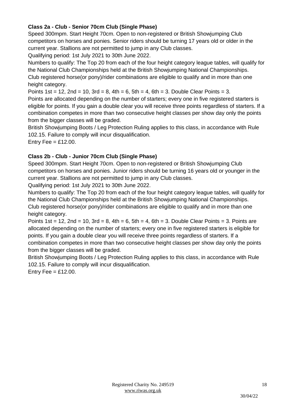## **Class 2a - Club - Senior 70cm Club (Single Phase)**

Speed 300mpm. Start Height 70cm. Open to non-registered or British Showjumping Club competitors on horses and ponies. Senior riders should be turning 17 years old or older in the current year. Stallions are not permitted to jump in any Club classes.

Qualifying period: 1st July 2021 to 30th June 2022.

Numbers to qualify: The Top 20 from each of the four height category league tables, will qualify for the National Club Championships held at the British Showjumping National Championships. Club registered horse(or pony)/rider combinations are eligible to qualify and in more than one height category.

Points  $1st = 12$ ,  $2nd = 10$ ,  $3rd = 8$ ,  $4th = 6$ ,  $5th = 4$ ,  $6th = 3$ . Double Clear Points = 3.

Points are allocated depending on the number of starters; every one in five registered starters is eligible for points. If you gain a double clear you will receive three points regardless of starters. If a combination competes in more than two consecutive height classes per show day only the points from the bigger classes will be graded.

British Showjumping Boots / Leg Protection Ruling applies to this class, in accordance with Rule 102.15. Failure to comply will incur disqualification.

Entry Fee  $=$  £12.00.

## **Class 2b - Club - Junior 70cm Club (Single Phase)**

Speed 300mpm. Start Height 70cm. Open to non-registered or British Showjumping Club competitors on horses and ponies. Junior riders should be turning 16 years old or younger in the current year. Stallions are not permitted to jump in any Club classes.

Qualifying period: 1st July 2021 to 30th June 2022.

Numbers to qualify: The Top 20 from each of the four height category league tables, will qualify for the National Club Championships held at the British Showjumping National Championships. Club registered horse(or pony)/rider combinations are eligible to qualify and in more than one height category.

Points 1st = 12, 2nd = 10, 3rd = 8, 4th = 6, 5th = 4, 6th = 3. Double Clear Points = 3. Points are allocated depending on the number of starters; every one in five registered starters is eligible for points. If you gain a double clear you will receive three points regardless of starters. If a combination competes in more than two consecutive height classes per show day only the points from the bigger classes will be graded.

British Showjumping Boots / Leg Protection Ruling applies to this class, in accordance with Rule 102.15. Failure to comply will incur disqualification.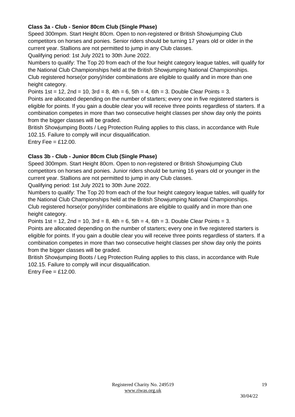## **Class 3a - Club - Senior 80cm Club (Single Phase)**

Speed 300mpm. Start Height 80cm. Open to non-registered or British Showjumping Club competitors on horses and ponies. Senior riders should be turning 17 years old or older in the current year. Stallions are not permitted to jump in any Club classes.

Qualifying period: 1st July 2021 to 30th June 2022.

Numbers to qualify: The Top 20 from each of the four height category league tables, will qualify for the National Club Championships held at the British Showjumping National Championships. Club registered horse(or pony)/rider combinations are eligible to qualify and in more than one height category.

Points  $1st = 12$ ,  $2nd = 10$ ,  $3rd = 8$ ,  $4th = 6$ ,  $5th = 4$ ,  $6th = 3$ . Double Clear Points = 3.

Points are allocated depending on the number of starters; every one in five registered starters is eligible for points. If you gain a double clear you will receive three points regardless of starters. If a combination competes in more than two consecutive height classes per show day only the points from the bigger classes will be graded.

British Showjumping Boots / Leg Protection Ruling applies to this class, in accordance with Rule 102.15. Failure to comply will incur disqualification.

Entry Fee  $=$  £12.00.

## **Class 3b - Club - Junior 80cm Club (Single Phase)**

Speed 300mpm. Start Height 80cm. Open to non-registered or British Showjumping Club competitors on horses and ponies. Junior riders should be turning 16 years old or younger in the current year. Stallions are not permitted to jump in any Club classes.

Qualifying period: 1st July 2021 to 30th June 2022.

Numbers to qualify: The Top 20 from each of the four height category league tables, will qualify for the National Club Championships held at the British Showjumping National Championships. Club registered horse(or pony)/rider combinations are eligible to qualify and in more than one height category.

Points  $1st = 12$ ,  $2nd = 10$ ,  $3rd = 8$ ,  $4th = 6$ ,  $5th = 4$ ,  $6th = 3$ . Double Clear Points = 3.

Points are allocated depending on the number of starters; every one in five registered starters is eligible for points. If you gain a double clear you will receive three points regardless of starters. If a combination competes in more than two consecutive height classes per show day only the points from the bigger classes will be graded.

British Showjumping Boots / Leg Protection Ruling applies to this class, in accordance with Rule 102.15. Failure to comply will incur disqualification.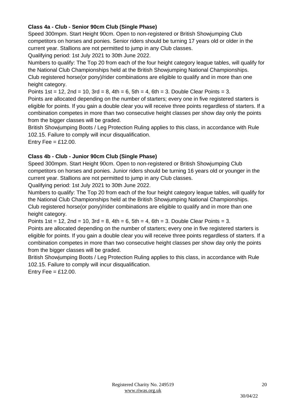## **Class 4a - Club - Senior 90cm Club (Single Phase)**

Speed 300mpm. Start Height 90cm. Open to non-registered or British Showjumping Club competitors on horses and ponies. Senior riders should be turning 17 years old or older in the current year. Stallions are not permitted to jump in any Club classes.

Qualifying period: 1st July 2021 to 30th June 2022.

Numbers to qualify: The Top 20 from each of the four height category league tables, will qualify for the National Club Championships held at the British Showjumping National Championships. Club registered horse(or pony)/rider combinations are eligible to qualify and in more than one height category.

Points  $1st = 12$ ,  $2nd = 10$ ,  $3rd = 8$ ,  $4th = 6$ ,  $5th = 4$ ,  $6th = 3$ . Double Clear Points = 3.

Points are allocated depending on the number of starters; every one in five registered starters is eligible for points. If you gain a double clear you will receive three points regardless of starters. If a combination competes in more than two consecutive height classes per show day only the points from the bigger classes will be graded.

British Showjumping Boots / Leg Protection Ruling applies to this class, in accordance with Rule 102.15. Failure to comply will incur disqualification.

Entry Fee  $=$  £12.00.

## **Class 4b - Club - Junior 90cm Club (Single Phase)**

Speed 300mpm. Start Height 90cm. Open to non-registered or British Showjumping Club competitors on horses and ponies. Junior riders should be turning 16 years old or younger in the current year. Stallions are not permitted to jump in any Club classes.

Qualifying period: 1st July 2021 to 30th June 2022.

Numbers to qualify: The Top 20 from each of the four height category league tables, will qualify for the National Club Championships held at the British Showjumping National Championships. Club registered horse(or pony)/rider combinations are eligible to qualify and in more than one height category.

Points  $1st = 12$ ,  $2nd = 10$ ,  $3rd = 8$ ,  $4th = 6$ ,  $5th = 4$ ,  $6th = 3$ . Double Clear Points = 3.

Points are allocated depending on the number of starters; every one in five registered starters is eligible for points. If you gain a double clear you will receive three points regardless of starters. If a combination competes in more than two consecutive height classes per show day only the points from the bigger classes will be graded.

British Showjumping Boots / Leg Protection Ruling applies to this class, in accordance with Rule 102.15. Failure to comply will incur disqualification.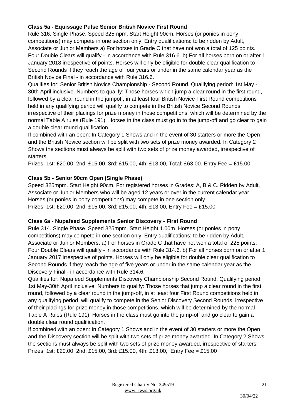## **Class 5a - Equissage Pulse Senior British Novice First Round**

Rule 316. Single Phase. Speed 325mpm. Start Height 90cm. Horses (or ponies in pony competitions) may compete in one section only. Entry qualifications: to be ridden by Adult, Associate or Junior Members a) For horses in Grade C that have not won a total of 125 points. Four Double Clears will qualify - in accordance with Rule 316.6. b) For all horses born on or after 1 January 2018 irrespective of points. Horses will only be eligible for double clear qualification to Second Rounds if they reach the age of four years or under in the same calendar year as the British Novice Final - in accordance with Rule 316.6.

Qualifies for: Senior British Novice Championship - Second Round. Qualifying period: 1st May - 30th April inclusive. Numbers to qualify: Those horses which jump a clear round in the first round, followed by a clear round in the jumpoff, in at least four British Novice First Round competitions held in any qualifying period will qualify to compete in the British Novice Second Rounds, irrespective of their placings for prize money in those competitions, which will be determined by the normal Table A rules (Rule 191). Horses in the class must go in to the jump-off and go clear to gain a double clear round qualification.

If combined with an open: In Category 1 Shows and in the event of 30 starters or more the Open and the British Novice section will be split with two sets of prize money awarded. In Category 2 Shows the sections must always be split with two sets of prize money awarded, irrespective of starters.

Prizes: 1st: £20.00, 2nd: £15.00, 3rd: £15.00, 4th: £13.00, Total: £63.00. Entry Fee = £15.00

## **Class 5b - Senior 90cm Open (Single Phase)**

Speed 325mpm. Start Height 90cm. For registered horses in Grades: A, B & C. Ridden by Adult, Associate or Junior Members who will be aged 12 years or over in the current calendar year. Horses (or ponies in pony competitions) may compete in one section only. Prizes: 1st: £20.00, 2nd: £15.00, 3rd: £15.00, 4th: £13.00, Entry Fee = £15.00

## **Class 6a - Nupafeed Supplements Senior Discovery - First Round**

Rule 314. Single Phase. Speed 325mpm. Start Height 1.00m. Horses (or ponies in pony competitions) may compete in one section only. Entry qualifications: to be ridden by Adult, Associate or Junior Members. a) For horses in Grade C that have not won a total of 225 points. Four Double Clears will qualify - in accordance with Rule 314.6. b) For all horses born on or after 1 January 2017 irrespective of points. Horses will only be eligible for double clear qualification to Second Rounds if they reach the age of five years or under in the same calendar year as the Discovery Final - in accordance with Rule 314.6.

Qualifies for: Nupafeed Supplements Discovery Championship Second Round. Qualifying period: 1st May-30th April inclusive. Numbers to qualify: Those horses that jump a clear round in the first round, followed by a clear round in the jump-off, in at least four First Round competitions held in any qualifying period, will qualify to compete in the Senior Discovery Second Rounds, irrespective of their placings for prize money in those competitions, which will be determined by the normal Table A Rules (Rule 191). Horses in the class must go into the jump-off and go clear to gain a double clear round qualification.

If combined with an open: In Category 1 Shows and in the event of 30 starters or more the Open and the Discovery section will be split with two sets of prize money awarded. In Category 2 Shows the sections must always be split with two sets of prize money awarded, irrespective of starters. Prizes: 1st: £20.00, 2nd: £15.00, 3rd: £15.00, 4th: £13.00, Entry Fee = £15.00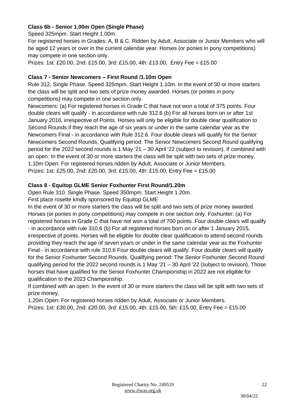## **Class 6b - Senior 1.00m Open (Single Phase)**

Speed 325mpm. Start Height 1.00m.

For registered horses in Grades: A, B & C. Ridden by Adult, Associate or Junior Members who will be aged 12 years or over in the current calendar year. Horses (or ponies in pony competitions) may compete in one section only.

Prizes: 1st: £20.00, 2nd: £15.00, 3rd: £15.00, 4th: £13.00, Entry Fee = £15.00

## **Class 7 - Senior Newcomers – First Round /1.10m Open**

Rule 312. Single Phase. Speed 325mpm. Start Height 1.10m. In the event of 30 or more starters the class will be split and two sets of prize money awarded. Horses (or ponies in pony competitions) may compete in one section only.

Newcomers: (a) For registered horses in Grade C that have not won a total of 375 points. Four double clears will qualify - in accordance with rule 312.6 (b) For all horses born on or after 1st January 2016, irrespective of Points. Horses will only be eligible for double clear qualification to Second Rounds if they reach the age of six years or under in the same calendar year as the Newcomers Final - in accordance with Rule 312.6. Four double clears will qualify for the Senior Newcomers Second Rounds. Qualifying period: The Senior Newcomers Second Round qualifying period for the 2022 second rounds is 1 May '21 – 30 April '22 (subject to revision). If combined with an open: In the event of 30 or more starters the class will be split with two sets of prize money. 1.10m Open: For registered horses ridden by Adult, Associate or Junior Members. Prizes: 1st: £25.00, 2nd: £20.00, 3rd: £15.00, 4th: £15.00, Entry Fee = £15.00

## **Class 8 - Equitop GLME Senior Foxhunter First Round/1.20m**

Open Rule 310. Single Phase. Speed 350mpm. Start Height 1.20m.

First place rosette kindly sponsored by Equitop GLME

In the event of 30 or more starters the class will be split and two sets of prize money awarded. Horses (or ponies in pony competitions) may compete in one section only. Foxhunter: (a) For registered horses in Grade C that have not won a total of 700 points. Four double clears will qualify - in accordance with rule 310.6 (b) For all registered horses born on or after 1 January 2015, irrespective of points. Horses will be eligible for double clear qualification to attend second rounds providing they reach the age of seven years or under in the same calendar year as the Foxhunter Final - in accordance with rule 310.6 Four double clears will qualify. Four double clears will qualify for the Senior Foxhunter Second Rounds. Qualifying period: The Senior Foxhunter Second Round qualifying period for the 2022 second rounds is 1 May '21 – 30 April '22 (subject to revision). Those horses that have qualified for the Senior Foxhunter Championship in 2022 are not eligible for qualification to the 2023 Championship.

If combined with an open: In the event of 30 or more starters the class will be split with two sets of prize money.

1.20m Open: For registered horses ridden by Adult, Associate or Junior Members.

Prizes: 1st: £30.00, 2nd: £20.00, 3rd: £15.00, 4th: £15.00, 5th: £15.00, Entry Fee = £15.00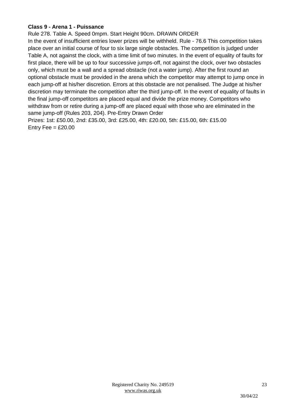## **Class 9 - Arena 1 - Puissance**

Rule 278. Table A. Speed 0mpm. Start Height 90cm. DRAWN ORDER In the event of insufficient entries lower prizes will be withheld. Rule - 76.6 This competition takes place over an initial course of four to six large single obstacles. The competition is judged under Table A, not against the clock, with a time limit of two minutes. In the event of equality of faults for first place, there will be up to four successive jumps-off, not against the clock, over two obstacles only, which must be a wall and a spread obstacle (not a water jump). After the first round an optional obstacle must be provided in the arena which the competitor may attempt to jump once in each jump-off at his/her discretion. Errors at this obstacle are not penalised. The Judge at his/her discretion may terminate the competition after the third jump-off. In the event of equality of faults in the final jump-off competitors are placed equal and divide the prize money. Competitors who withdraw from or retire during a jump-off are placed equal with those who are eliminated in the same jump-off (Rules 203, 204). Pre-Entry Drawn Order

Prizes: 1st: £50.00, 2nd: £35.00, 3rd: £25.00, 4th: £20.00, 5th: £15.00, 6th: £15.00 Entry Fee  $=$  £20.00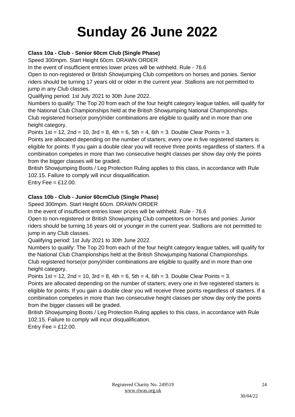# **Sunday 26 June 2022**

## **Class 10a - Club - Senior 60cm Club (Single Phase)**

Speed 300mpm. Start Height 60cm. DRAWN ORDER

In the event of insufficient entries lower prizes will be withheld. Rule - 76.6

Open to non-registered or British Showjumping Club competitors on horses and ponies. Senior riders should be turning 17 years old or older in the current year. Stallions are not permitted to jump in any Club classes.

Qualifying period: 1st July 2021 to 30th June 2022.

Numbers to qualify: The Top 20 from each of the four height category league tables, will qualify for the National Club Championships held at the British Showjumping National Championships. Club registered horse(or pony)/rider combinations are eligible to qualify and in more than one height category.

Points  $1st = 12$ ,  $2nd = 10$ ,  $3rd = 8$ ,  $4th = 6$ ,  $5th = 4$ ,  $6th = 3$ . Double Clear Points = 3.

Points are allocated depending on the number of starters; every one in five registered starters is eligible for points. If you gain a double clear you will receive three points regardless of starters. If a combination competes in more than two consecutive height classes per show day only the points from the bigger classes will be graded.

British Showjumping Boots / Leg Protection Ruling applies to this class, in accordance with Rule 102.15. Failure to comply will incur disqualification.

Entry Fee  $=$  £12.00.

## **Class 10b - Club - Junior 60cmClub (Single Phase)**

Speed 300mpm. Start Height 60cm. DRAWN ORDER

In the event of insufficient entries lower prizes will be withheld. Rule - 76.6

Open to non-registered or British Showjumping Club competitors on horses and ponies. Junior riders should be turning 16 years old or younger in the current year. Stallions are not permitted to jump in any Club classes.

Qualifying period: 1st July 2021 to 30th June 2022.

Numbers to qualify: The Top 20 from each of the four height category league tables, will qualify for the National Club Championships held at the British Showjumping National Championships. Club registered horse(or pony)/rider combinations are eligible to qualify and in more than one height category.

Points  $1st = 12$ ,  $2nd = 10$ ,  $3rd = 8$ ,  $4th = 6$ ,  $5th = 4$ ,  $6th = 3$ . Double Clear Points = 3.

Points are allocated depending on the number of starters; every one in five registered starters is eligible for points. If you gain a double clear you will receive three points regardless of starters. If a combination competes in more than two consecutive height classes per show day only the points from the bigger classes will be graded.

British Showjumping Boots / Leg Protection Ruling applies to this class, in accordance with Rule 102.15. Failure to comply will incur disqualification.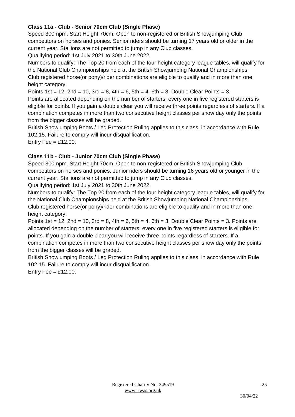## **Class 11a - Club - Senior 70cm Club (Single Phase)**

Speed 300mpm. Start Height 70cm. Open to non-registered or British Showjumping Club competitors on horses and ponies. Senior riders should be turning 17 years old or older in the current year. Stallions are not permitted to jump in any Club classes.

Qualifying period: 1st July 2021 to 30th June 2022.

Numbers to qualify: The Top 20 from each of the four height category league tables, will qualify for the National Club Championships held at the British Showjumping National Championships. Club registered horse(or pony)/rider combinations are eligible to qualify and in more than one height category.

Points  $1st = 12$ ,  $2nd = 10$ ,  $3rd = 8$ ,  $4th = 6$ ,  $5th = 4$ ,  $6th = 3$ . Double Clear Points = 3.

Points are allocated depending on the number of starters; every one in five registered starters is eligible for points. If you gain a double clear you will receive three points regardless of starters. If a combination competes in more than two consecutive height classes per show day only the points from the bigger classes will be graded.

British Showjumping Boots / Leg Protection Ruling applies to this class, in accordance with Rule 102.15. Failure to comply will incur disqualification.

Entry Fee  $=$  £12.00.

## **Class 11b - Club - Junior 70cm Club (Single Phase)**

Speed 300mpm. Start Height 70cm. Open to non-registered or British Showjumping Club competitors on horses and ponies. Junior riders should be turning 16 years old or younger in the current year. Stallions are not permitted to jump in any Club classes.

Qualifying period: 1st July 2021 to 30th June 2022.

Numbers to qualify: The Top 20 from each of the four height category league tables, will qualify for the National Club Championships held at the British Showjumping National Championships. Club registered horse(or pony)/rider combinations are eligible to qualify and in more than one height category.

Points 1st = 12, 2nd = 10, 3rd = 8, 4th = 6, 5th = 4, 6th = 3. Double Clear Points = 3. Points are allocated depending on the number of starters; every one in five registered starters is eligible for points. If you gain a double clear you will receive three points regardless of starters. If a combination competes in more than two consecutive height classes per show day only the points from the bigger classes will be graded.

British Showjumping Boots / Leg Protection Ruling applies to this class, in accordance with Rule 102.15. Failure to comply will incur disqualification.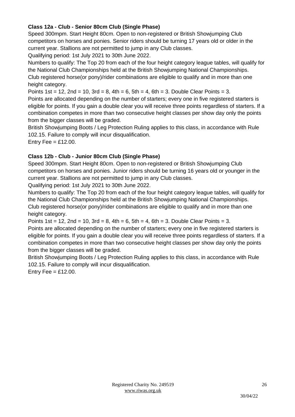## **Class 12a - Club - Senior 80cm Club (Single Phase)**

Speed 300mpm. Start Height 80cm. Open to non-registered or British Showjumping Club competitors on horses and ponies. Senior riders should be turning 17 years old or older in the current year. Stallions are not permitted to jump in any Club classes.

Qualifying period: 1st July 2021 to 30th June 2022.

Numbers to qualify: The Top 20 from each of the four height category league tables, will qualify for the National Club Championships held at the British Showjumping National Championships. Club registered horse(or pony)/rider combinations are eligible to qualify and in more than one height category.

Points  $1st = 12$ ,  $2nd = 10$ ,  $3rd = 8$ ,  $4th = 6$ ,  $5th = 4$ ,  $6th = 3$ . Double Clear Points = 3.

Points are allocated depending on the number of starters; every one in five registered starters is eligible for points. If you gain a double clear you will receive three points regardless of starters. If a combination competes in more than two consecutive height classes per show day only the points from the bigger classes will be graded.

British Showjumping Boots / Leg Protection Ruling applies to this class, in accordance with Rule 102.15. Failure to comply will incur disqualification.

Entry Fee  $=$  £12.00.

## **Class 12b - Club - Junior 80cm Club (Single Phase)**

Speed 300mpm. Start Height 80cm. Open to non-registered or British Showjumping Club competitors on horses and ponies. Junior riders should be turning 16 years old or younger in the current year. Stallions are not permitted to jump in any Club classes.

Qualifying period: 1st July 2021 to 30th June 2022.

Numbers to qualify: The Top 20 from each of the four height category league tables, will qualify for the National Club Championships held at the British Showjumping National Championships. Club registered horse(or pony)/rider combinations are eligible to qualify and in more than one height category.

Points  $1st = 12$ ,  $2nd = 10$ ,  $3rd = 8$ ,  $4th = 6$ ,  $5th = 4$ ,  $6th = 3$ . Double Clear Points = 3.

Points are allocated depending on the number of starters; every one in five registered starters is eligible for points. If you gain a double clear you will receive three points regardless of starters. If a combination competes in more than two consecutive height classes per show day only the points from the bigger classes will be graded.

British Showjumping Boots / Leg Protection Ruling applies to this class, in accordance with Rule 102.15. Failure to comply will incur disqualification.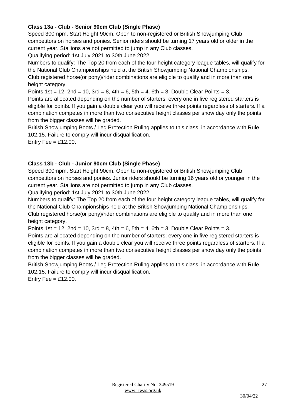## **Class 13a - Club - Senior 90cm Club (Single Phase)**

Speed 300mpm. Start Height 90cm. Open to non-registered or British Showjumping Club competitors on horses and ponies. Senior riders should be turning 17 years old or older in the current year. Stallions are not permitted to jump in any Club classes.

Qualifying period: 1st July 2021 to 30th June 2022.

Numbers to qualify: The Top 20 from each of the four height category league tables, will qualify for the National Club Championships held at the British Showjumping National Championships. Club registered horse(or pony)/rider combinations are eligible to qualify and in more than one height category.

Points  $1st = 12$ ,  $2nd = 10$ ,  $3rd = 8$ ,  $4th = 6$ ,  $5th = 4$ ,  $6th = 3$ . Double Clear Points = 3.

Points are allocated depending on the number of starters; every one in five registered starters is eligible for points. If you gain a double clear you will receive three points regardless of starters. If a combination competes in more than two consecutive height classes per show day only the points from the bigger classes will be graded.

British Showjumping Boots / Leg Protection Ruling applies to this class, in accordance with Rule 102.15. Failure to comply will incur disqualification.

Entry Fee  $=$  £12.00.

## **Class 13b - Club - Junior 90cm Club (Single Phase)**

Speed 300mpm. Start Height 90cm. Open to non-registered or British Showjumping Club competitors on horses and ponies. Junior riders should be turning 16 years old or younger in the current year. Stallions are not permitted to jump in any Club classes.

Qualifying period: 1st July 2021 to 30th June 2022.

Numbers to qualify: The Top 20 from each of the four height category league tables, will qualify for the National Club Championships held at the British Showjumping National Championships. Club registered horse(or pony)/rider combinations are eligible to qualify and in more than one height category.

Points  $1st = 12$ ,  $2nd = 10$ ,  $3rd = 8$ ,  $4th = 6$ ,  $5th = 4$ ,  $6th = 3$ . Double Clear Points = 3.

Points are allocated depending on the number of starters; every one in five registered starters is eligible for points. If you gain a double clear you will receive three points regardless of starters. If a combination competes in more than two consecutive height classes per show day only the points from the bigger classes will be graded.

British Showjumping Boots / Leg Protection Ruling applies to this class, in accordance with Rule 102.15. Failure to comply will incur disqualification.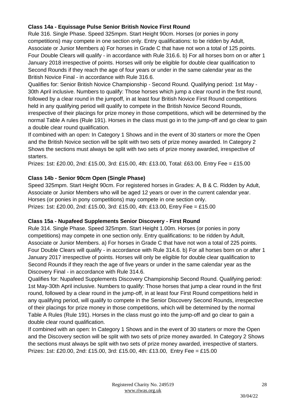## **Class 14a - Equissage Pulse Senior British Novice First Round**

Rule 316. Single Phase. Speed 325mpm. Start Height 90cm. Horses (or ponies in pony competitions) may compete in one section only. Entry qualifications: to be ridden by Adult, Associate or Junior Members a) For horses in Grade C that have not won a total of 125 points. Four Double Clears will qualify - in accordance with Rule 316.6. b) For all horses born on or after 1 January 2018 irrespective of points. Horses will only be eligible for double clear qualification to Second Rounds if they reach the age of four years or under in the same calendar year as the British Novice Final - in accordance with Rule 316.6.

Qualifies for: Senior British Novice Championship - Second Round. Qualifying period: 1st May - 30th April inclusive. Numbers to qualify: Those horses which jump a clear round in the first round, followed by a clear round in the jumpoff, in at least four British Novice First Round competitions held in any qualifying period will qualify to compete in the British Novice Second Rounds, irrespective of their placings for prize money in those competitions, which will be determined by the normal Table A rules (Rule 191). Horses in the class must go in to the jump-off and go clear to gain a double clear round qualification.

If combined with an open: In Category 1 Shows and in the event of 30 starters or more the Open and the British Novice section will be split with two sets of prize money awarded. In Category 2 Shows the sections must always be split with two sets of prize money awarded, irrespective of starters.

Prizes: 1st: £20.00, 2nd: £15.00, 3rd: £15.00, 4th: £13.00, Total: £63.00. Entry Fee = £15.00

## **Class 14b - Senior 90cm Open (Single Phase)**

Speed 325mpm. Start Height 90cm. For registered horses in Grades: A, B & C. Ridden by Adult, Associate or Junior Members who will be aged 12 years or over in the current calendar year. Horses (or ponies in pony competitions) may compete in one section only. Prizes: 1st: £20.00, 2nd: £15.00, 3rd: £15.00, 4th: £13.00, Entry Fee = £15.00

## **Class 15a - Nupafeed Supplements Senior Discovery - First Round**

Rule 314. Single Phase. Speed 325mpm. Start Height 1.00m. Horses (or ponies in pony competitions) may compete in one section only. Entry qualifications: to be ridden by Adult, Associate or Junior Members. a) For horses in Grade C that have not won a total of 225 points. Four Double Clears will qualify - in accordance with Rule 314.6. b) For all horses born on or after 1 January 2017 irrespective of points. Horses will only be eligible for double clear qualification to Second Rounds if they reach the age of five years or under in the same calendar year as the Discovery Final - in accordance with Rule 314.6.

Qualifies for: Nupafeed Supplements Discovery Championship Second Round. Qualifying period: 1st May-30th April inclusive. Numbers to qualify: Those horses that jump a clear round in the first round, followed by a clear round in the jump-off, in at least four First Round competitions held in any qualifying period, will qualify to compete in the Senior Discovery Second Rounds, irrespective of their placings for prize money in those competitions, which will be determined by the normal Table A Rules (Rule 191). Horses in the class must go into the jump-off and go clear to gain a double clear round qualification.

If combined with an open: In Category 1 Shows and in the event of 30 starters or more the Open and the Discovery section will be split with two sets of prize money awarded. In Category 2 Shows the sections must always be split with two sets of prize money awarded, irrespective of starters. Prizes: 1st: £20.00, 2nd: £15.00, 3rd: £15.00, 4th: £13.00, Entry Fee = £15.00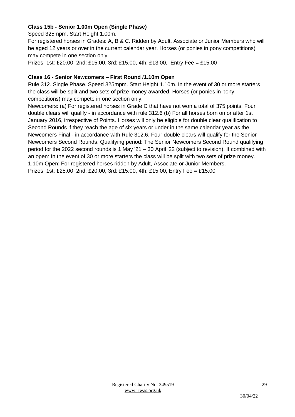## **Class 15b - Senior 1.00m Open (Single Phase)**

Speed 325mpm. Start Height 1.00m.

For registered horses in Grades: A, B & C. Ridden by Adult, Associate or Junior Members who will be aged 12 years or over in the current calendar year. Horses (or ponies in pony competitions) may compete in one section only.

Prizes: 1st: £20.00, 2nd: £15.00, 3rd: £15.00, 4th: £13.00, Entry Fee = £15.00

## **Class 16 - Senior Newcomers – First Round /1.10m Open**

Rule 312. Single Phase. Speed 325mpm. Start Height 1.10m. In the event of 30 or more starters the class will be split and two sets of prize money awarded. Horses (or ponies in pony competitions) may compete in one section only.

Newcomers: (a) For registered horses in Grade C that have not won a total of 375 points. Four double clears will qualify - in accordance with rule 312.6 (b) For all horses born on or after 1st January 2016, irrespective of Points. Horses will only be eligible for double clear qualification to Second Rounds if they reach the age of six years or under in the same calendar year as the Newcomers Final - in accordance with Rule 312.6. Four double clears will qualify for the Senior Newcomers Second Rounds. Qualifying period: The Senior Newcomers Second Round qualifying period for the 2022 second rounds is 1 May '21 – 30 April '22 (subject to revision). If combined with an open: In the event of 30 or more starters the class will be split with two sets of prize money. 1.10m Open: For registered horses ridden by Adult, Associate or Junior Members. Prizes: 1st: £25.00, 2nd: £20.00, 3rd: £15.00, 4th: £15.00, Entry Fee = £15.00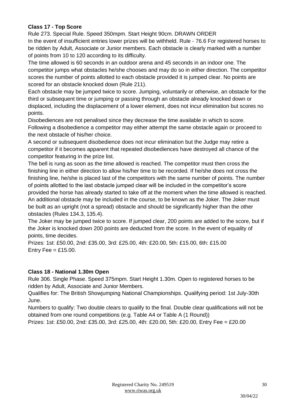## **Class 17 - Top Score**

Rule 273. Special Rule. Speed 350mpm. Start Height 90cm. DRAWN ORDER In the event of insufficient entries lower prizes will be withheld. Rule - 76.6 For registered horses to be ridden by Adult, Associate or Junior members. Each obstacle is clearly marked with a number of points from 10 to 120 according to its difficulty.

The time allowed is 60 seconds in an outdoor arena and 45 seconds in an indoor one. The competitor jumps what obstacles he/she chooses and may do so in either direction. The competitor scores the number of points allotted to each obstacle provided it is jumped clear. No points are scored for an obstacle knocked down (Rule 211).

Each obstacle may be jumped twice to score. Jumping, voluntarily or otherwise, an obstacle for the third or subsequent time or jumping or passing through an obstacle already knocked down or displaced, including the displacement of a lower element, does not incur elimination but scores no points.

Disobediences are not penalised since they decrease the time available in which to score. Following a disobedience a competitor may either attempt the same obstacle again or proceed to the next obstacle of his/her choice.

A second or subsequent disobedience does not incur elimination but the Judge may retire a competitor if it becomes apparent that repeated disobediences have destroyed all chance of the competitor featuring in the prize list.

The bell is rung as soon as the time allowed is reached. The competitor must then cross the finishing line in either direction to allow his/her time to be recorded. If he/she does not cross the finishing line, he/she is placed last of the competitors with the same number of points. The number of points allotted to the last obstacle jumped clear will be included in the competitor's score provided the horse has already started to take off at the moment when the time allowed is reached. An additional obstacle may be included in the course, to be known as the Joker. The Joker must be built as an upright (not a spread) obstacle and should be significantly higher than the other obstacles (Rules 134.3, 135.4).

The Joker may be jumped twice to score. If jumped clear, 200 points are added to the score, but if the Joker is knocked down 200 points are deducted from the score. In the event of equality of points, time decides.

Prizes: 1st: £50.00, 2nd: £35.00, 3rd: £25.00, 4th: £20.00, 5th: £15.00, 6th: £15.00 Entry Fee  $=$  £15.00.

## **Class 18 - National 1.30m Open**

Rule 306. Single Phase. Speed 375mpm. Start Height 1.30m. Open to registered horses to be ridden by Adult, Associate and Junior Members.

Qualifies for: The British Showjumping National Championships. Qualifying period: 1st July-30th June.

Numbers to qualify: Two double clears to qualify to the final. Double clear qualifications will not be obtained from one round competitions (e.g. Table A4 or Table A (1 Round))

Prizes: 1st: £50.00, 2nd: £35.00, 3rd: £25.00, 4th: £20.00, 5th: £20.00, Entry Fee = £20.00